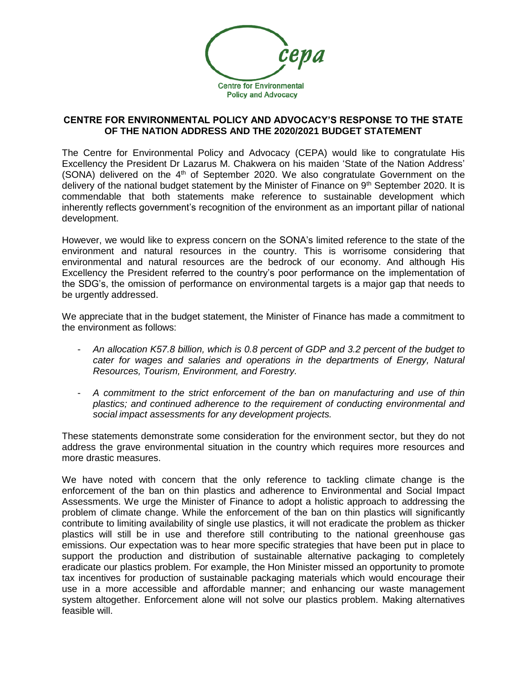

## **CENTRE FOR ENVIRONMENTAL POLICY AND ADVOCACY'S RESPONSE TO THE STATE OF THE NATION ADDRESS AND THE 2020/2021 BUDGET STATEMENT**

The Centre for Environmental Policy and Advocacy (CEPA) would like to congratulate His Excellency the President Dr Lazarus M. Chakwera on his maiden 'State of the Nation Address' (SONA) delivered on the  $4<sup>th</sup>$  of September 2020. We also congratulate Government on the delivery of the national budget statement by the Minister of Finance on 9<sup>th</sup> September 2020. It is commendable that both statements make reference to sustainable development which inherently reflects government's recognition of the environment as an important pillar of national development.

However, we would like to express concern on the SONA's limited reference to the state of the environment and natural resources in the country. This is worrisome considering that environmental and natural resources are the bedrock of our economy. And although His Excellency the President referred to the country's poor performance on the implementation of the SDG's, the omission of performance on environmental targets is a major gap that needs to be urgently addressed.

We appreciate that in the budget statement, the Minister of Finance has made a commitment to the environment as follows:

- *An allocation K57.8 billion, which is 0.8 percent of GDP and 3.2 percent of the budget to cater for wages and salaries and operations in the departments of Energy, Natural Resources, Tourism, Environment, and Forestry.*
- *A commitment to the strict enforcement of the ban on manufacturing and use of thin plastics; and continued adherence to the requirement of conducting environmental and social impact assessments for any development projects.*

These statements demonstrate some consideration for the environment sector, but they do not address the grave environmental situation in the country which requires more resources and more drastic measures.

We have noted with concern that the only reference to tackling climate change is the enforcement of the ban on thin plastics and adherence to Environmental and Social Impact Assessments. We urge the Minister of Finance to adopt a holistic approach to addressing the problem of climate change. While the enforcement of the ban on thin plastics will significantly contribute to limiting availability of single use plastics, it will not eradicate the problem as thicker plastics will still be in use and therefore still contributing to the national greenhouse gas emissions. Our expectation was to hear more specific strategies that have been put in place to support the production and distribution of sustainable alternative packaging to completely eradicate our plastics problem. For example, the Hon Minister missed an opportunity to promote tax incentives for production of sustainable packaging materials which would encourage their use in a more accessible and affordable manner; and enhancing our waste management system altogether. Enforcement alone will not solve our plastics problem. Making alternatives feasible will.